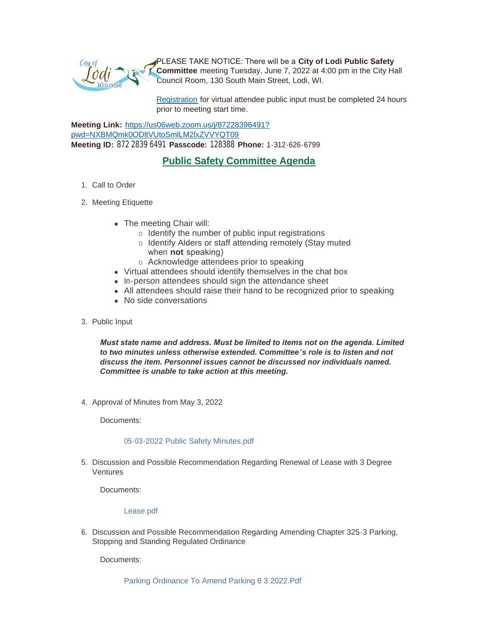

PLEASE TAKE NOTICE: There will be a **City of Lodi Public Safety Committee** meeting Tuesday, June 7, 2022 at 4:00 pm in the City Hall Council Room, 130 South Main Street, Lodi, WI.

[Registration](https://www.cityoflodi.us/CivicAlerts.aspx?AID=467) for virtual attendee public input must be completed 24 hours prior to meeting start time.

**Meeting Link:** [https://us06web.zoom.us/j/87228396491?](https://us06web.zoom.us/j/87228396491?pwd=NXBMQmk0ODltVUtoSmlLM2lxZVVYQT09) pwd=NXBMQmk0ODltVUtoSmlLM2lxZVVYQT09 **Meeting ID:** 872 2839 6491 **Passcode:** 128388 **Phone:** 1-312-626-6799

# **Public Safety Committee Agenda**

- 1. Call to Order
- 2. Meeting Etiquette
	- The meeting Chair will:
		- $\circ$  Identify the number of public input registrations
		- o Identify Alders or staff attending remotely (Stay muted when **not** speaking)
		- o Acknowledge attendees prior to speaking
	- Virtual attendees should identify themselves in the chat box
	- In-person attendees should sign the attendance sheet
	- All attendees should raise their hand to be recognized prior to speaking
	- No side conversations
- 3. Public Input

*Must state name and address. Must be limited to items not on the agenda. Limited to two minutes unless otherwise extended. Committee's role is to listen and not discuss the item. Personnel issues cannot be discussed nor individuals named. Committee is unable to take action at this meeting.*

4. Approval of Minutes from May 3, 2022

Documents:

# [05-03-2022 Public Safety Minutes.pdf](http://cityoflodi.us/AgendaCenter/ViewFile/Item/15144?fileID=12042)

5. Discussion and Possible Recommendation Regarding Renewal of Lease with 3 Degree Ventures

Documents:

[Lease.pdf](http://cityoflodi.us/AgendaCenter/ViewFile/Item/14930?fileID=11880)

6. Discussion and Possible Recommendation Regarding Amending Chapter 325-3 Parking, Stopping and Standing Regulated Ordinance

Documents:

[Parking Ordinance To Amend Parking 6 3 2022.Pdf](http://cityoflodi.us/AgendaCenter/ViewFile/Item/15172?fileID=12084)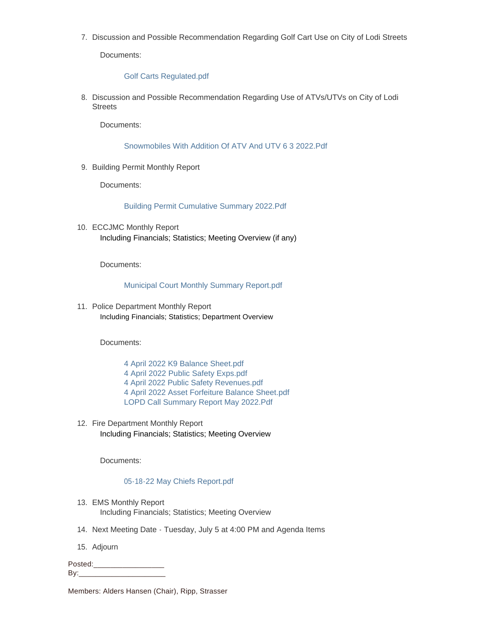7. Discussion and Possible Recommendation Regarding Golf Cart Use on City of Lodi Streets

Documents:

### [Golf Carts Regulated.pdf](http://cityoflodi.us/AgendaCenter/ViewFile/Item/15174?fileID=12081)

8. Discussion and Possible Recommendation Regarding Use of ATVs/UTVs on City of Lodi **Streets** 

Documents:

[Snowmobiles With Addition Of ATV And UTV 6 3 2022.Pdf](http://cityoflodi.us/AgendaCenter/ViewFile/Item/15175?fileID=12085)

9. Building Permit Monthly Report

Documents:

[Building Permit Cumulative Summary 2022.Pdf](http://cityoflodi.us/AgendaCenter/ViewFile/Item/15062?fileID=12078)

10. ECCJMC Monthly Report Including Financials; Statistics; Meeting Overview (if any)

Documents:

# [Municipal Court Monthly Summary Report.pdf](http://cityoflodi.us/AgendaCenter/ViewFile/Item/15063?fileID=12075)

11. Police Department Monthly Report Including Financials; Statistics; Department Overview

Documents:

- [4 April 2022 K9 Balance Sheet.pdf](http://cityoflodi.us/AgendaCenter/ViewFile/Item/15066?fileID=12050)
- [4 April 2022 Public Safety Exps.pdf](http://cityoflodi.us/AgendaCenter/ViewFile/Item/15066?fileID=12051)
- [4 April 2022 Public Safety Revenues.pdf](http://cityoflodi.us/AgendaCenter/ViewFile/Item/15066?fileID=12052)
- [4 April 2022 Asset Forfeiture Balance Sheet.pdf](http://cityoflodi.us/AgendaCenter/ViewFile/Item/15066?fileID=12053)
- [LOPD Call Summary Report May 2022.Pdf](http://cityoflodi.us/AgendaCenter/ViewFile/Item/15066?fileID=12080)
- 12. Fire Department Monthly Report Including Financials; Statistics; Meeting Overview

Documents:

# [05-18-22 May Chiefs Report.pdf](http://cityoflodi.us/AgendaCenter/ViewFile/Item/15065?fileID=12043)

- 13. EMS Monthly Report Including Financials; Statistics; Meeting Overview
- 14. Next Meeting Date Tuesday, July 5 at 4:00 PM and Agenda Items
- 15. Adjourn

Posted:\_\_\_\_\_\_\_\_\_\_\_\_\_\_\_\_\_ By:\_\_\_\_\_\_\_\_\_\_\_\_\_\_\_\_\_\_\_\_\_

Members: Alders Hansen (Chair), Ripp, Strasser